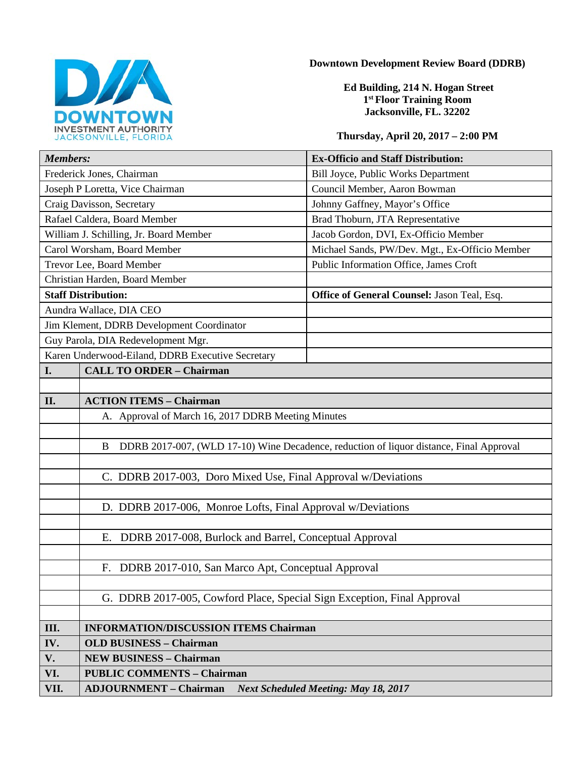

#### **Downtown Development Review Board (DDRB)**

**Ed Building, 214 N. Hogan Street 1st Floor Training Room Jacksonville, FL. 32202** 

### **Thursday, April 20, 2017 – 2:00 PM**

| <b>Members:</b>                           |                                                                                              | <b>Ex-Officio and Staff Distribution:</b>      |
|-------------------------------------------|----------------------------------------------------------------------------------------------|------------------------------------------------|
| Frederick Jones, Chairman                 |                                                                                              | Bill Joyce, Public Works Department            |
| Joseph P Loretta, Vice Chairman           |                                                                                              | Council Member, Aaron Bowman                   |
| Craig Davisson, Secretary                 |                                                                                              | Johnny Gaffney, Mayor's Office                 |
| Rafael Caldera, Board Member              |                                                                                              | Brad Thoburn, JTA Representative               |
| William J. Schilling, Jr. Board Member    |                                                                                              | Jacob Gordon, DVI, Ex-Officio Member           |
| Carol Worsham, Board Member               |                                                                                              | Michael Sands, PW/Dev. Mgt., Ex-Officio Member |
| Trevor Lee, Board Member                  |                                                                                              | Public Information Office, James Croft         |
| Christian Harden, Board Member            |                                                                                              |                                                |
| <b>Staff Distribution:</b>                |                                                                                              | Office of General Counsel: Jason Teal, Esq.    |
| Aundra Wallace, DIA CEO                   |                                                                                              |                                                |
| Jim Klement, DDRB Development Coordinator |                                                                                              |                                                |
| Guy Parola, DIA Redevelopment Mgr.        |                                                                                              |                                                |
|                                           | Karen Underwood-Eiland, DDRB Executive Secretary                                             |                                                |
| I.                                        | <b>CALL TO ORDER - Chairman</b>                                                              |                                                |
|                                           |                                                                                              |                                                |
| II.                                       | <b>ACTION ITEMS - Chairman</b>                                                               |                                                |
|                                           | A. Approval of March 16, 2017 DDRB Meeting Minutes                                           |                                                |
|                                           |                                                                                              |                                                |
|                                           | DDRB 2017-007, (WLD 17-10) Wine Decadence, reduction of liquor distance, Final Approval<br>B |                                                |
|                                           |                                                                                              |                                                |
|                                           | C. DDRB 2017-003, Doro Mixed Use, Final Approval w/Deviations                                |                                                |
|                                           |                                                                                              |                                                |
|                                           | D. DDRB 2017-006, Monroe Lofts, Final Approval w/Deviations                                  |                                                |
|                                           |                                                                                              |                                                |
|                                           | DDRB 2017-008, Burlock and Barrel, Conceptual Approval<br>Е.                                 |                                                |
|                                           |                                                                                              |                                                |
|                                           | F. DDRB 2017-010, San Marco Apt, Conceptual Approval                                         |                                                |
|                                           |                                                                                              |                                                |
|                                           | G. DDRB 2017-005, Cowford Place, Special Sign Exception, Final Approval                      |                                                |
|                                           |                                                                                              |                                                |
| III.                                      | <b>INFORMATION/DISCUSSION ITEMS Chairman</b>                                                 |                                                |
| IV.                                       | <b>OLD BUSINESS - Chairman</b>                                                               |                                                |
| V.                                        | <b>NEW BUSINESS - Chairman</b>                                                               |                                                |
| VI.                                       | <b>PUBLIC COMMENTS - Chairman</b>                                                            |                                                |
| VII.                                      | <b>ADJOURNMENT - Chairman</b>                                                                | <b>Next Scheduled Meeting: May 18, 2017</b>    |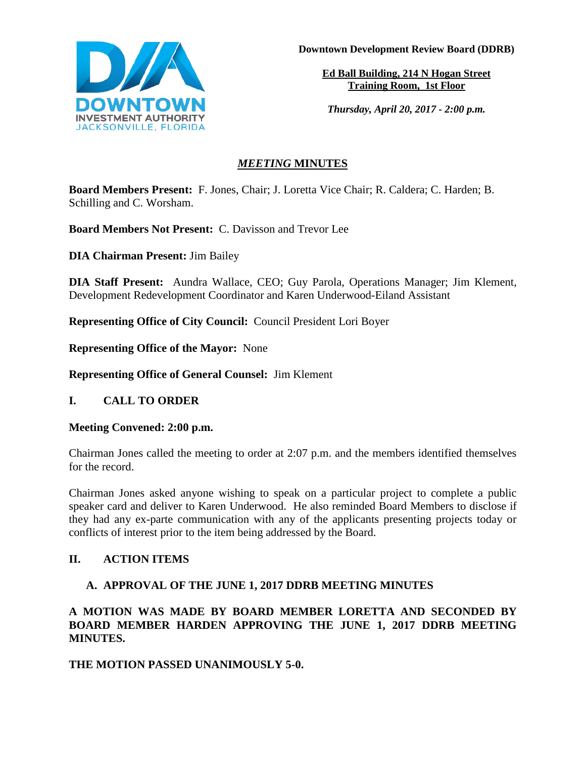

**Downtown Development Review Board (DDRB)**

**Ed Ball Building, 214 N Hogan Street Training Room, 1st Floor**

*Thursday, April 20, 2017 - 2:00 p.m.*

# *MEETING* **MINUTES**

**Board Members Present:** F. Jones, Chair; J. Loretta Vice Chair; R. Caldera; C. Harden; B. Schilling and C. Worsham.

**Board Members Not Present:** C. Davisson and Trevor Lee

**DIA Chairman Present:** Jim Bailey

**DIA Staff Present:** Aundra Wallace, CEO; Guy Parola, Operations Manager; Jim Klement, Development Redevelopment Coordinator and Karen Underwood-Eiland Assistant

**Representing Office of City Council:** Council President Lori Boyer

**Representing Office of the Mayor:** None

**Representing Office of General Counsel:** Jim Klement

**I. CALL TO ORDER**

**Meeting Convened: 2:00 p.m.** 

Chairman Jones called the meeting to order at 2:07 p.m. and the members identified themselves for the record.

Chairman Jones asked anyone wishing to speak on a particular project to complete a public speaker card and deliver to Karen Underwood. He also reminded Board Members to disclose if they had any ex-parte communication with any of the applicants presenting projects today or conflicts of interest prior to the item being addressed by the Board.

# **II. ACTION ITEMS**

# **A. APPROVAL OF THE JUNE 1, 2017 DDRB MEETING MINUTES**

**A MOTION WAS MADE BY BOARD MEMBER LORETTA AND SECONDED BY BOARD MEMBER HARDEN APPROVING THE JUNE 1, 2017 DDRB MEETING MINUTES.** 

# **THE MOTION PASSED UNANIMOUSLY 5-0.**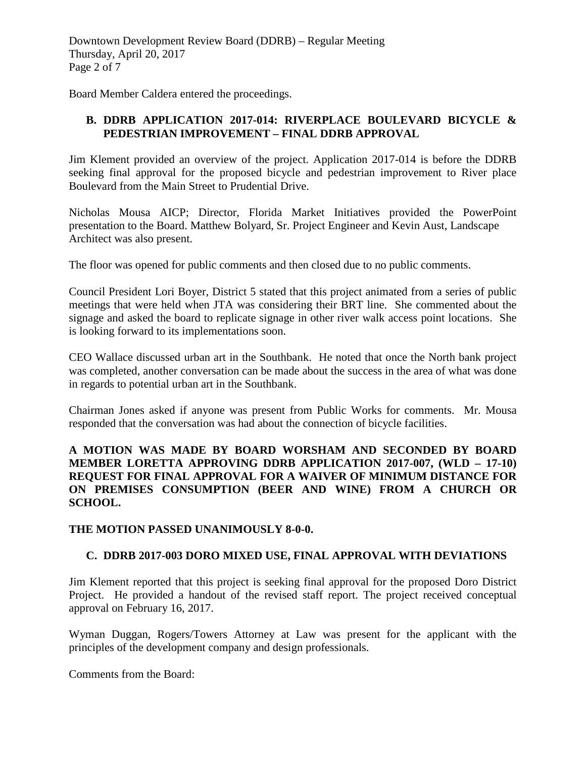Downtown Development Review Board (DDRB) – Regular Meeting Thursday, April 20, 2017 Page 2 of 7

Board Member Caldera entered the proceedings.

### **B. DDRB APPLICATION 2017-014: RIVERPLACE BOULEVARD BICYCLE & PEDESTRIAN IMPROVEMENT – FINAL DDRB APPROVAL**

Jim Klement provided an overview of the project. Application 2017-014 is before the DDRB seeking final approval for the proposed bicycle and pedestrian improvement to River place Boulevard from the Main Street to Prudential Drive.

Nicholas Mousa AICP; Director, Florida Market Initiatives provided the PowerPoint presentation to the Board. Matthew Bolyard, Sr. Project Engineer and Kevin Aust, Landscape Architect was also present.

The floor was opened for public comments and then closed due to no public comments.

Council President Lori Boyer, District 5 stated that this project animated from a series of public meetings that were held when JTA was considering their BRT line. She commented about the signage and asked the board to replicate signage in other river walk access point locations. She is looking forward to its implementations soon.

CEO Wallace discussed urban art in the Southbank. He noted that once the North bank project was completed, another conversation can be made about the success in the area of what was done in regards to potential urban art in the Southbank.

Chairman Jones asked if anyone was present from Public Works for comments. Mr. Mousa responded that the conversation was had about the connection of bicycle facilities.

#### **A MOTION WAS MADE BY BOARD WORSHAM AND SECONDED BY BOARD MEMBER LORETTA APPROVING DDRB APPLICATION 2017-007, (WLD – 17-10) REQUEST FOR FINAL APPROVAL FOR A WAIVER OF MINIMUM DISTANCE FOR ON PREMISES CONSUMPTION (BEER AND WINE) FROM A CHURCH OR SCHOOL.**

#### **THE MOTION PASSED UNANIMOUSLY 8-0-0.**

### **C. DDRB 2017-003 DORO MIXED USE, FINAL APPROVAL WITH DEVIATIONS**

Jim Klement reported that this project is seeking final approval for the proposed Doro District Project. He provided a handout of the revised staff report. The project received conceptual approval on February 16, 2017.

Wyman Duggan, Rogers/Towers Attorney at Law was present for the applicant with the principles of the development company and design professionals.

Comments from the Board: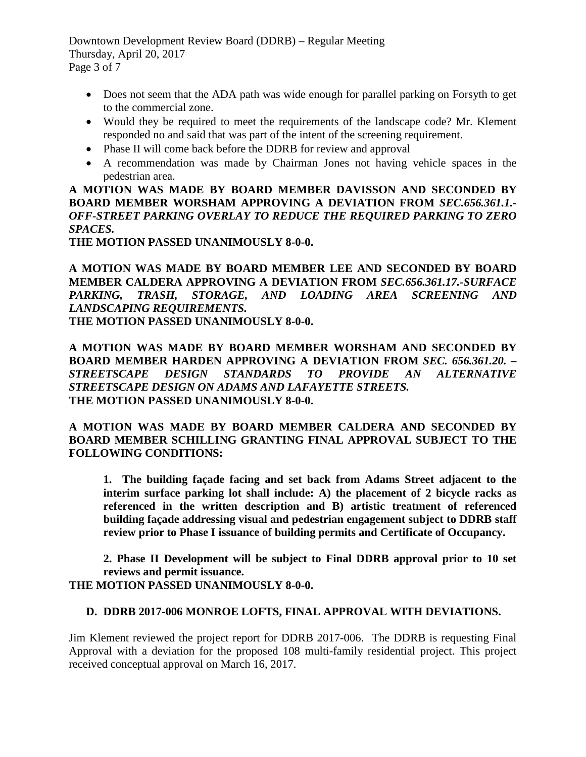Downtown Development Review Board (DDRB) – Regular Meeting Thursday, April 20, 2017 Page 3 of 7

- Does not seem that the ADA path was wide enough for parallel parking on Forsyth to get to the commercial zone.
- Would they be required to meet the requirements of the landscape code? Mr. Klement responded no and said that was part of the intent of the screening requirement.
- Phase II will come back before the DDRB for review and approval
- A recommendation was made by Chairman Jones not having vehicle spaces in the pedestrian area.

**A MOTION WAS MADE BY BOARD MEMBER DAVISSON AND SECONDED BY BOARD MEMBER WORSHAM APPROVING A DEVIATION FROM** *SEC.656.361.1.- OFF-STREET PARKING OVERLAY TO REDUCE THE REQUIRED PARKING TO ZERO SPACES.* 

**THE MOTION PASSED UNANIMOUSLY 8-0-0.**

**A MOTION WAS MADE BY BOARD MEMBER LEE AND SECONDED BY BOARD MEMBER CALDERA APPROVING A DEVIATION FROM** *SEC.656.361.17.-SURFACE*  PARKING, TRASH, STORAGE, AND LOADING AREA SCREENING AND *LANDSCAPING REQUIREMENTS.* 

**THE MOTION PASSED UNANIMOUSLY 8-0-0.** 

**A MOTION WAS MADE BY BOARD MEMBER WORSHAM AND SECONDED BY BOARD MEMBER HARDEN APPROVING A DEVIATION FROM** *SEC. 656.361.20. – STREETSCAPE DESIGN STANDARDS TO PROVIDE AN ALTERNATIVE STREETSCAPE DESIGN ON ADAMS AND LAFAYETTE STREETS.* **THE MOTION PASSED UNANIMOUSLY 8-0-0.** 

**A MOTION WAS MADE BY BOARD MEMBER CALDERA AND SECONDED BY BOARD MEMBER SCHILLING GRANTING FINAL APPROVAL SUBJECT TO THE FOLLOWING CONDITIONS:** 

**1. The building façade facing and set back from Adams Street adjacent to the interim surface parking lot shall include: A) the placement of 2 bicycle racks as referenced in the written description and B) artistic treatment of referenced building façade addressing visual and pedestrian engagement subject to DDRB staff review prior to Phase I issuance of building permits and Certificate of Occupancy.**

**2. Phase II Development will be subject to Final DDRB approval prior to 10 set reviews and permit issuance.**

# **THE MOTION PASSED UNANIMOUSLY 8-0-0.**

### **D. DDRB 2017-006 MONROE LOFTS, FINAL APPROVAL WITH DEVIATIONS.**

Jim Klement reviewed the project report for DDRB 2017-006. The DDRB is requesting Final Approval with a deviation for the proposed 108 multi-family residential project. This project received conceptual approval on March 16, 2017.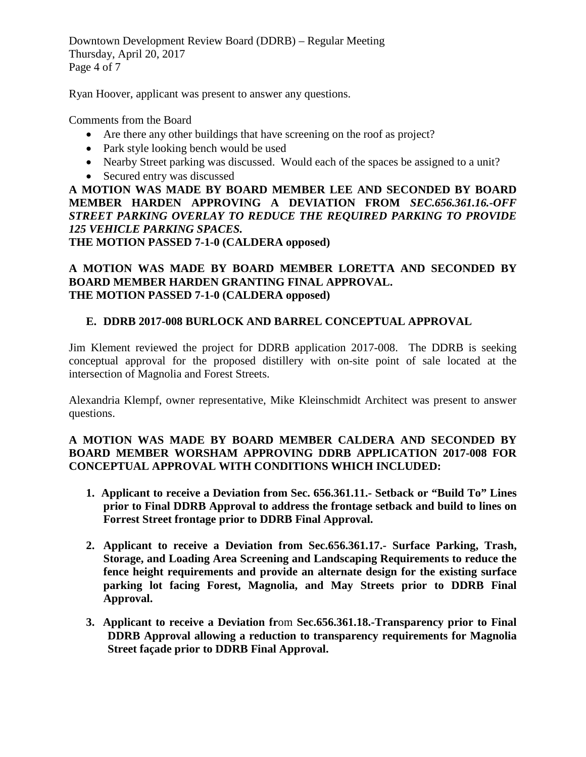Downtown Development Review Board (DDRB) – Regular Meeting Thursday, April 20, 2017 Page 4 of 7

Ryan Hoover, applicant was present to answer any questions.

Comments from the Board

- Are there any other buildings that have screening on the roof as project?
- Park style looking bench would be used
- Nearby Street parking was discussed. Would each of the spaces be assigned to a unit?
- Secured entry was discussed

**A MOTION WAS MADE BY BOARD MEMBER LEE AND SECONDED BY BOARD MEMBER HARDEN APPROVING A DEVIATION FROM** *SEC.656.361.16.-OFF*  STREET PARKING OVERLAY TO REDUCE THE REQUIRED PARKING TO PROVIDE *125 VEHICLE PARKING SPACES.* 

**THE MOTION PASSED 7-1-0 (CALDERA opposed)** 

### **A MOTION WAS MADE BY BOARD MEMBER LORETTA AND SECONDED BY BOARD MEMBER HARDEN GRANTING FINAL APPROVAL. THE MOTION PASSED 7-1-0 (CALDERA opposed)**

### **E. DDRB 2017-008 BURLOCK AND BARREL CONCEPTUAL APPROVAL**

Jim Klement reviewed the project for DDRB application 2017-008. The DDRB is seeking conceptual approval for the proposed distillery with on-site point of sale located at the intersection of Magnolia and Forest Streets.

Alexandria Klempf, owner representative, Mike Kleinschmidt Architect was present to answer questions.

### **A MOTION WAS MADE BY BOARD MEMBER CALDERA AND SECONDED BY BOARD MEMBER WORSHAM APPROVING DDRB APPLICATION 2017-008 FOR CONCEPTUAL APPROVAL WITH CONDITIONS WHICH INCLUDED:**

- **1. Applicant to receive a Deviation from Sec. 656.361.11.- Setback or "Build To" Lines prior to Final DDRB Approval to address the frontage setback and build to lines on Forrest Street frontage prior to DDRB Final Approval.**
- **2. Applicant to receive a Deviation from Sec.656.361.17.- Surface Parking, Trash, Storage, and Loading Area Screening and Landscaping Requirements to reduce the fence height requirements and provide an alternate design for the existing surface parking lot facing Forest, Magnolia, and May Streets prior to DDRB Final Approval.**
- **3. Applicant to receive a Deviation fr**om **Sec.656.361.18.-Transparency prior to Final DDRB Approval allowing a reduction to transparency requirements for Magnolia Street façade prior to DDRB Final Approval.**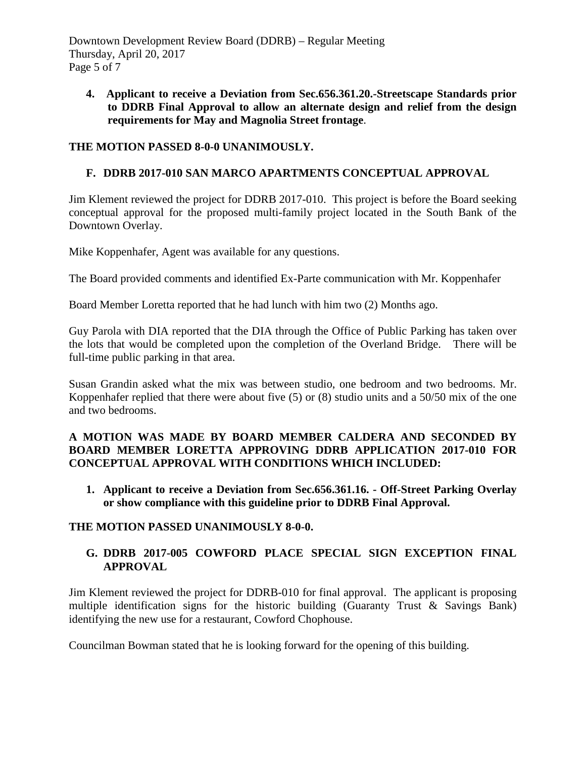Downtown Development Review Board (DDRB) – Regular Meeting Thursday, April 20, 2017 Page 5 of 7

**4. Applicant to receive a Deviation from Sec.656.361.20.-Streetscape Standards prior to DDRB Final Approval to allow an alternate design and relief from the design requirements for May and Magnolia Street frontage**.

### **THE MOTION PASSED 8-0-0 UNANIMOUSLY.**

### **F. DDRB 2017-010 SAN MARCO APARTMENTS CONCEPTUAL APPROVAL**

Jim Klement reviewed the project for DDRB 2017-010. This project is before the Board seeking conceptual approval for the proposed multi-family project located in the South Bank of the Downtown Overlay.

Mike Koppenhafer, Agent was available for any questions.

The Board provided comments and identified Ex-Parte communication with Mr. Koppenhafer

Board Member Loretta reported that he had lunch with him two (2) Months ago.

Guy Parola with DIA reported that the DIA through the Office of Public Parking has taken over the lots that would be completed upon the completion of the Overland Bridge. There will be full-time public parking in that area.

Susan Grandin asked what the mix was between studio, one bedroom and two bedrooms. Mr. Koppenhafer replied that there were about five (5) or (8) studio units and a 50/50 mix of the one and two bedrooms.

### **A MOTION WAS MADE BY BOARD MEMBER CALDERA AND SECONDED BY BOARD MEMBER LORETTA APPROVING DDRB APPLICATION 2017-010 FOR CONCEPTUAL APPROVAL WITH CONDITIONS WHICH INCLUDED:**

**1. Applicant to receive a Deviation from Sec.656.361.16. - Off-Street Parking Overlay or show compliance with this guideline prior to DDRB Final Approval.**

### **THE MOTION PASSED UNANIMOUSLY 8-0-0.**

# **G. DDRB 2017-005 COWFORD PLACE SPECIAL SIGN EXCEPTION FINAL APPROVAL**

Jim Klement reviewed the project for DDRB-010 for final approval. The applicant is proposing multiple identification signs for the historic building (Guaranty Trust & Savings Bank) identifying the new use for a restaurant, Cowford Chophouse.

Councilman Bowman stated that he is looking forward for the opening of this building.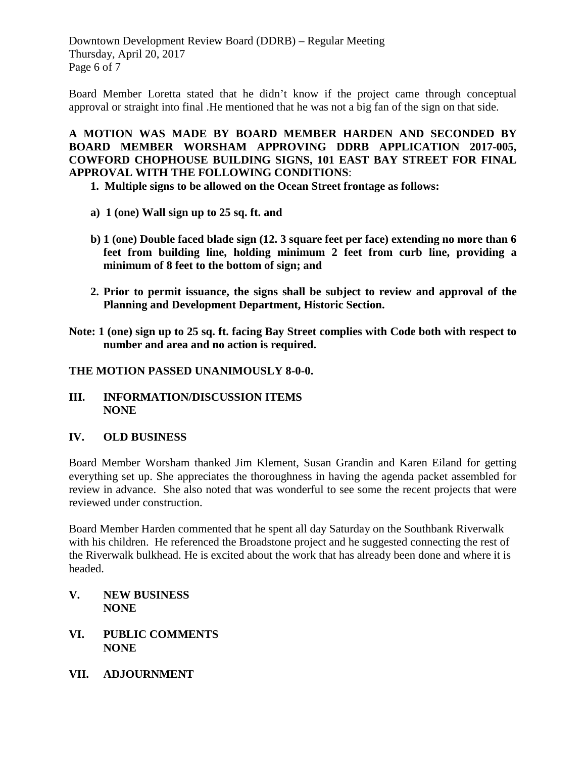Downtown Development Review Board (DDRB) – Regular Meeting Thursday, April 20, 2017 Page 6 of 7

Board Member Loretta stated that he didn't know if the project came through conceptual approval or straight into final .He mentioned that he was not a big fan of the sign on that side.

**A MOTION WAS MADE BY BOARD MEMBER HARDEN AND SECONDED BY BOARD MEMBER WORSHAM APPROVING DDRB APPLICATION 2017-005, COWFORD CHOPHOUSE BUILDING SIGNS, 101 EAST BAY STREET FOR FINAL APPROVAL WITH THE FOLLOWING CONDITIONS**:

- **1. Multiple signs to be allowed on the Ocean Street frontage as follows:**
- **a) 1 (one) Wall sign up to 25 sq. ft. and**
- **b) 1 (one) Double faced blade sign (12. 3 square feet per face) extending no more than 6 feet from building line, holding minimum 2 feet from curb line, providing a minimum of 8 feet to the bottom of sign; and**
- **2. Prior to permit issuance, the signs shall be subject to review and approval of the Planning and Development Department, Historic Section.**
- **Note: 1 (one) sign up to 25 sq. ft. facing Bay Street complies with Code both with respect to number and area and no action is required.**

#### **THE MOTION PASSED UNANIMOUSLY 8-0-0.**

**III. INFORMATION/DISCUSSION ITEMS NONE**

### **IV. OLD BUSINESS**

Board Member Worsham thanked Jim Klement, Susan Grandin and Karen Eiland for getting everything set up. She appreciates the thoroughness in having the agenda packet assembled for review in advance. She also noted that was wonderful to see some the recent projects that were reviewed under construction.

Board Member Harden commented that he spent all day Saturday on the Southbank Riverwalk with his children. He referenced the Broadstone project and he suggested connecting the rest of the Riverwalk bulkhead. He is excited about the work that has already been done and where it is headed.

- **V. NEW BUSINESS NONE**
- **VI. PUBLIC COMMENTS NONE**
- **VII. ADJOURNMENT**